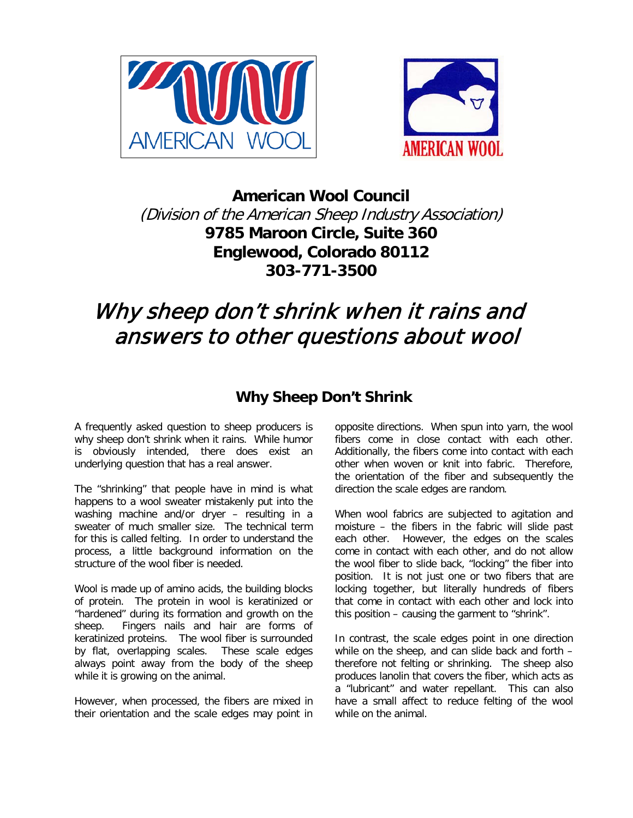



**American Wool Council** (Division of the American Sheep Industry Association) **9785 Maroon Circle, Suite 360 Englewood, Colorado 80112 303-771-3500**

# Why sheep don't shrink when it rains and answers to other questions about wool

## **Why Sheep Don't Shrink**

A frequently asked question to sheep producers is why sheep don't shrink when it rains. While humor is obviously intended, there does exist an underlying question that has a real answer.

The "shrinking" that people have in mind is what happens to a wool sweater mistakenly put into the washing machine and/or dryer – resulting in a sweater of much smaller size. The technical term for this is called felting. In order to understand the process, a little background information on the structure of the wool fiber is needed.

Wool is made up of amino acids, the building blocks of protein. The protein in wool is keratinized or "hardened" during its formation and growth on the sheep. Fingers nails and hair are forms of keratinized proteins. The wool fiber is surrounded by flat, overlapping scales. These scale edges always point away from the body of the sheep while it is growing on the animal.

However, when processed, the fibers are mixed in their orientation and the scale edges may point in

opposite directions. When spun into yarn, the wool fibers come in close contact with each other. Additionally, the fibers come into contact with each other when woven or knit into fabric. Therefore, the orientation of the fiber and subsequently the direction the scale edges are random.

When wool fabrics are subjected to agitation and moisture – the fibers in the fabric will slide past each other. However, the edges on the scales come in contact with each other, and do not allow the wool fiber to slide back, "locking" the fiber into position. It is not just one or two fibers that are locking together, but literally hundreds of fibers that come in contact with each other and lock into this position – causing the garment to "shrink".

In contrast, the scale edges point in one direction while on the sheep, and can slide back and forth – therefore not felting or shrinking. The sheep also produces lanolin that covers the fiber, which acts as a "lubricant" and water repellant. This can also have a small affect to reduce felting of the wool while on the animal.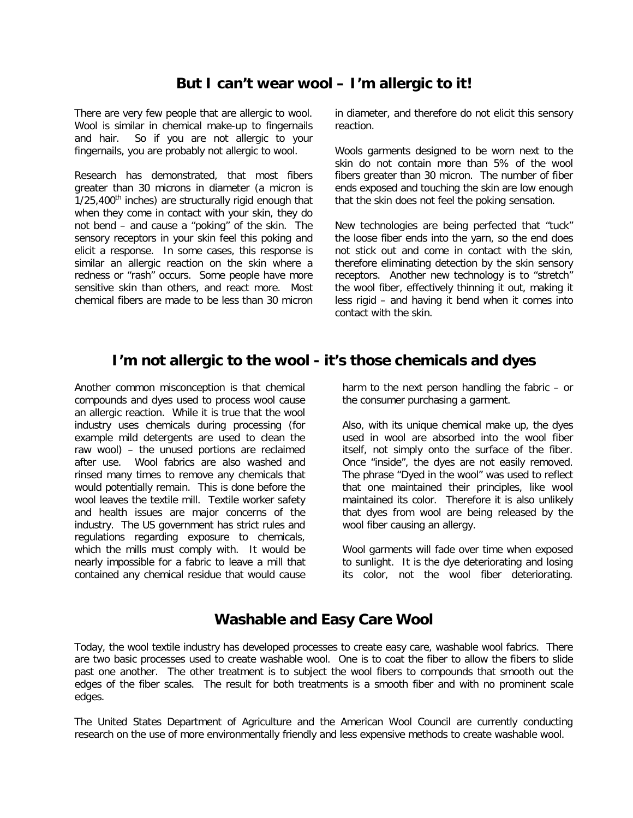### **But I can't wear wool – I'm allergic to it!**

There are very few people that are allergic to wool. Wool is similar in chemical make-up to fingernails and hair. So if you are not allergic to your fingernails, you are probably not allergic to wool.

Research has demonstrated, that most fibers greater than 30 microns in diameter (a micron is  $1/25,400$ <sup>th</sup> inches) are structurally rigid enough that when they come in contact with your skin, they do not bend – and cause a "poking" of the skin. The sensory receptors in your skin feel this poking and elicit a response. In some cases, this response is similar an allergic reaction on the skin where a redness or "rash" occurs. Some people have more sensitive skin than others, and react more. Most chemical fibers are made to be less than 30 micron

in diameter, and therefore do not elicit this sensory reaction.

Wools garments designed to be worn next to the skin do not contain more than 5% of the wool fibers greater than 30 micron. The number of fiber ends exposed and touching the skin are low enough that the skin does not feel the poking sensation.

New technologies are being perfected that "tuck" the loose fiber ends into the yarn, so the end does not stick out and come in contact with the skin, therefore eliminating detection by the skin sensory receptors. Another new technology is to "stretch" the wool fiber, effectively thinning it out, making it less rigid – and having it bend when it comes into contact with the skin.

#### **I'm not allergic to the wool - it's those chemicals and dyes**

Another common misconception is that chemical compounds and dyes used to process wool cause an allergic reaction. While it is true that the wool industry uses chemicals during processing (for example mild detergents are used to clean the raw wool) – the unused portions are reclaimed after use. Wool fabrics are also washed and rinsed many times to remove any chemicals that would potentially remain. This is done before the wool leaves the textile mill. Textile worker safety and health issues are major concerns of the industry. The US government has strict rules and regulations regarding exposure to chemicals, which the mills must comply with. It would be nearly impossible for a fabric to leave a mill that contained any chemical residue that would cause harm to the next person handling the fabric – or the consumer purchasing a garment.

Also, with its unique chemical make up, the dyes used in wool are absorbed into the wool fiber itself, not simply onto the surface of the fiber. Once "inside", the dyes are not easily removed. The phrase "Dyed in the wool" was used to reflect that one maintained their principles, like wool maintained its color. Therefore it is also unlikely that dyes from wool are being released by the wool fiber causing an allergy.

Wool garments will fade over time when exposed to sunlight. It is the dye deteriorating and losing its color, not the wool fiber deteriorating.

#### **Washable and Easy Care Wool**

Today, the wool textile industry has developed processes to create easy care, washable wool fabrics. There are two basic processes used to create washable wool. One is to coat the fiber to allow the fibers to slide past one another. The other treatment is to subject the wool fibers to compounds that smooth out the edges of the fiber scales. The result for both treatments is a smooth fiber and with no prominent scale edges.

The United States Department of Agriculture and the American Wool Council are currently conducting research on the use of more environmentally friendly and less expensive methods to create washable wool.